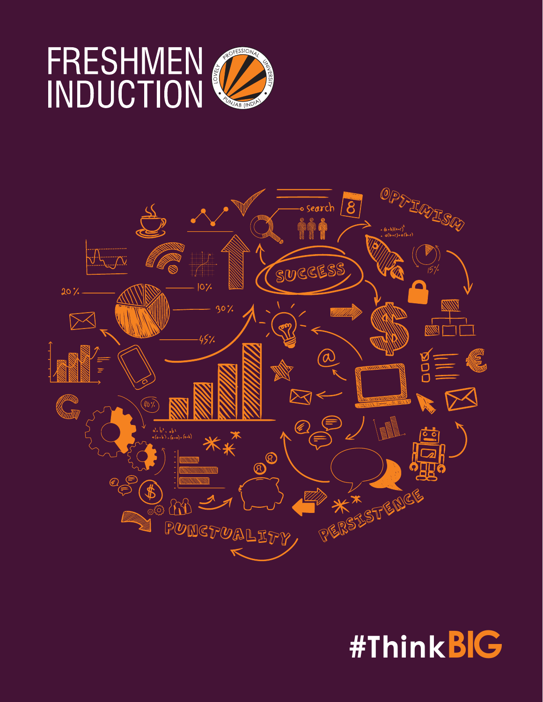



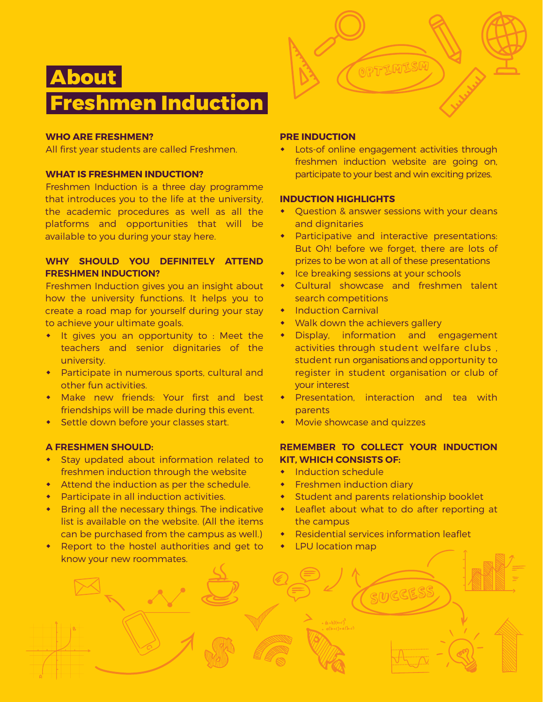

# **WHO ARE FRESHMEN?**

All first year students are called Freshmen.

### **WHAT IS FRESHMEN INDUCTION?**

Freshmen Induction is a three day programme that introduces you to the life at the university, the academic procedures as well as all the platforms and opportunities that will be available to you during your stay here.

# **WHY SHOULD YOU DEFINITELY ATTEND FRESHMEN INDUCTION?**

Freshmen Induction gives you an insight about how the university functions. It helps you to create a road map for yourself during your stay to achieve your ultimate goals.

- It gives you an opportunity to : Meet the teachers and senior dignitaries of the university.
- Participate in numerous sports, cultural and other fun activities.
- Make new friends: Your first and best friendships will be made during this event.
- **\*** Settle down before your classes start.

#### **A FRESHMEN SHOULD:**

- Stay updated about information related to freshmen induction through the website
- $\bullet$  Attend the induction as per the schedule.
- $\bullet$  Participate in all induction activities.
- $\bullet$  Bring all the necessary things. The indicative list is available on the website. (All the items can be purchased from the campus as well.)
- Report to the hostel authorities and get to know your new roommates.

## **PRE INDUCTION**

Lots-of online engagement activities through freshmen induction website are going on, participate to your best and win exciting prizes.

OPTIMISM

#### **INDUCTION HIGHLIGHTS**

- Question & answer sessions with your deans and dignitaries
- Participative and interactive presentations: But Oh! before we forget, there are lots of prizes to be won at all of these presentations
- Ice breaking sessions at your schools
- Cultural showcase and freshmen talent search competitions
- **Induction Carnival**
- Walk down the achievers gallery
- Display, information and engagement activities through student welfare clubs , student run organisations and opportunity to register in student organisation or club of your interest
- **\*** Presentation, interaction and tea with parents
- Movie showcase and quizzes

# **REMEMBER TO COLLECT YOUR INDUCTION KIT, WHICH CONSISTS OF:**

- $\bullet$  Induction schedule
- **\*** Freshmen induction diary
- Student and parents relationship booklet
- Leaflet about what to do after reporting at the campus

Success

- Residential services information leaflet
- LPU location map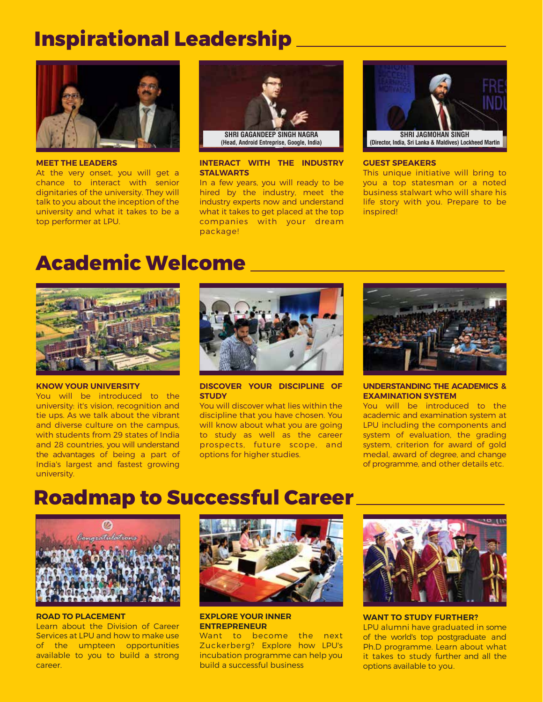# **Inspirational Leadership**



**MEET THE LEADERS**

At the very onset, you will get a chance to interact with senior dignitaries of the university. They will talk to you about the inception of the university and what it takes to be a top performer at LPU.



#### **INTERACT WITH THE INDUSTRY STALWARTS**

In a few years, you will ready to be hired by the industry, meet the industry experts now and understand what it takes to get placed at the top companies with your dream package!



#### **GUEST SPEAKERS**

This unique initiative will bring to you a top statesman or a noted business stalwart who will share his life story with you. Prepare to be inspired!

# **Academic Welcome**



#### **KNOW YOUR UNIVERSITY**

You will be introduced to the university: it's vision, recognition and tie ups. As we talk about the vibrant and diverse culture on the campus, with students from 29 states of India and 28 countries, you will understand the advantages of being a part of India's largest and fastest growing university.



**DISCOVER YOUR DISCIPLINE OF STUDY**

You will discover what lies within the discipline that you have chosen. You will know about what you are going to study as well as the career prospects, future scope, and options for higher studies.



#### **UNDERSTANDING THE ACADEMICS & EXAMINATION SYSTEM**

You will be introduced to the academic and examination system at LPU including the components and system of evaluation, the grading system, criterion for award of gold medal, award of degree, and change of programme, and other details etc.

# **Roadmap to Successful Career**



#### **ROAD TO PLACEMENT**

Learn about the Division of Career Services at LPU and how to make use of the umpteen opportunities available to you to build a strong career.



**EXPLORE YOUR INNER ENTREPRENEUR**

Want to become the next Zuckerberg? Explore how LPU's incubation programme can help you build a successful business



**WANT TO STUDY FURTHER?** LPU alumni have graduated in some of the world's top postgraduate and Ph.D programme. Learn about what it takes to study further and all the options available to you.